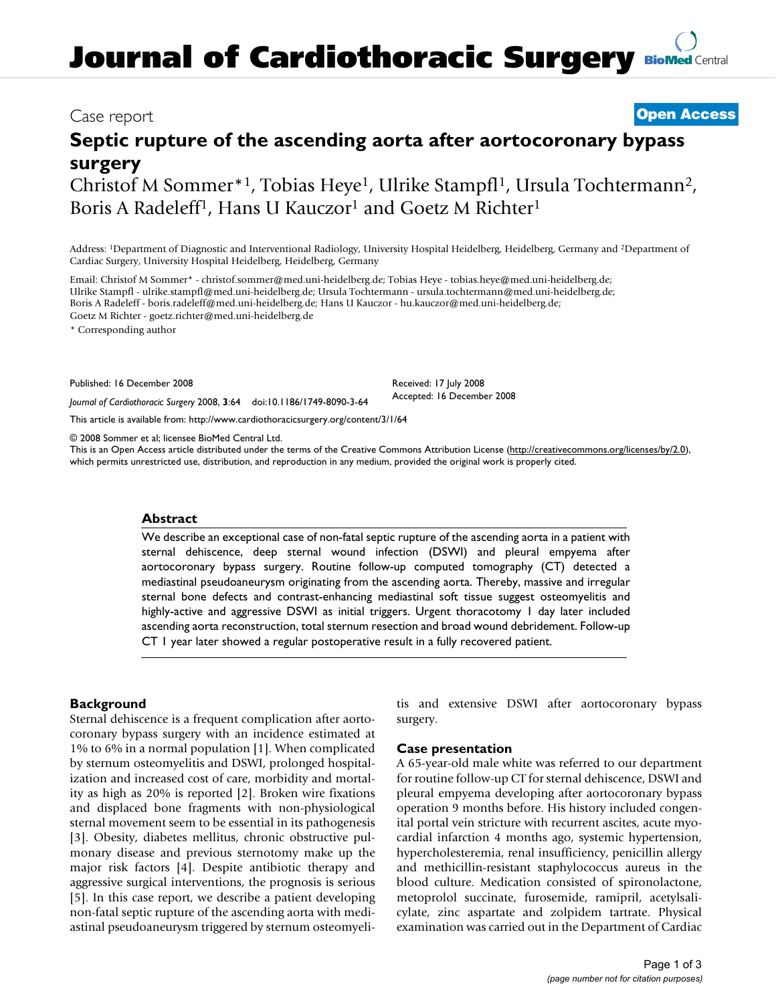# **Journal of Cardiothoracic Surgery [BioMed](http://www.biomedcentral.com/) Central**

### Case report **[Open Access](http://www.biomedcentral.com/info/about/charter/)**

## **Septic rupture of the ascending aorta after aortocoronary bypass surgery**

Christof M Sommer\*1, Tobias Heye1, Ulrike Stampfl1, Ursula Tochtermann2, Boris A Radeleff<sup>1</sup>, Hans U Kauczor<sup>1</sup> and Goetz M Richter<sup>1</sup>

Address: 1Department of Diagnostic and Interventional Radiology, University Hospital Heidelberg, Heidelberg, Germany and 2Department of Cardiac Surgery, University Hospital Heidelberg, Heidelberg, Germany

Email: Christof M Sommer\* - christof.sommer@med.uni-heidelberg.de; Tobias Heye - tobias.heye@med.uni-heidelberg.de; Ulrike Stampfl - ulrike.stampfl@med.uni-heidelberg.de; Ursula Tochtermann - ursula.tochtermann@med.uni-heidelberg.de; Boris A Radeleff - boris.radeleff@med.uni-heidelberg.de; Hans U Kauczor - hu.kauczor@med.uni-heidelberg.de; Goetz M Richter - goetz.richter@med.uni-heidelberg.de

\* Corresponding author

Published: 16 December 2008

*Journal of Cardiothoracic Surgery* 2008, **3**:64 doi:10.1186/1749-8090-3-64

[This article is available from: http://www.cardiothoracicsurgery.org/content/3/1/64](http://www.cardiothoracicsurgery.org/content/3/1/64)

© 2008 Sommer et al; licensee BioMed Central Ltd.

This is an Open Access article distributed under the terms of the Creative Commons Attribution License [\(http://creativecommons.org/licenses/by/2.0\)](http://creativecommons.org/licenses/by/2.0), which permits unrestricted use, distribution, and reproduction in any medium, provided the original work is properly cited.

Received: 17 July 2008 Accepted: 16 December 2008

#### **Abstract**

We describe an exceptional case of non-fatal septic rupture of the ascending aorta in a patient with sternal dehiscence, deep sternal wound infection (DSWI) and pleural empyema after aortocoronary bypass surgery. Routine follow-up computed tomography (CT) detected a mediastinal pseudoaneurysm originating from the ascending aorta. Thereby, massive and irregular sternal bone defects and contrast-enhancing mediastinal soft tissue suggest osteomyelitis and highly-active and aggressive DSWI as initial triggers. Urgent thoracotomy 1 day later included ascending aorta reconstruction, total sternum resection and broad wound debridement. Follow-up CT 1 year later showed a regular postoperative result in a fully recovered patient.

#### **Background**

Sternal dehiscence is a frequent complication after aortocoronary bypass surgery with an incidence estimated at 1% to 6% in a normal population [1]. When complicated by sternum osteomyelitis and DSWI, prolonged hospitalization and increased cost of care, morbidity and mortality as high as 20% is reported [2]. Broken wire fixations and displaced bone fragments with non-physiological sternal movement seem to be essential in its pathogenesis [3]. Obesity, diabetes mellitus, chronic obstructive pulmonary disease and previous sternotomy make up the major risk factors [4]. Despite antibiotic therapy and aggressive surgical interventions, the prognosis is serious [5]. In this case report, we describe a patient developing non-fatal septic rupture of the ascending aorta with mediastinal pseudoaneurysm triggered by sternum osteomyelitis and extensive DSWI after aortocoronary bypass surgery.

#### **Case presentation**

A 65-year-old male white was referred to our department for routine follow-up CT for sternal dehiscence, DSWI and pleural empyema developing after aortocoronary bypass operation 9 months before. His history included congenital portal vein stricture with recurrent ascites, acute myocardial infarction 4 months ago, systemic hypertension, hypercholesteremia, renal insufficiency, penicillin allergy and methicillin-resistant staphylococcus aureus in the blood culture. Medication consisted of spironolactone, metoprolol succinate, furosemide, ramipril, acetylsalicylate, zinc aspartate and zolpidem tartrate. Physical examination was carried out in the Department of Cardiac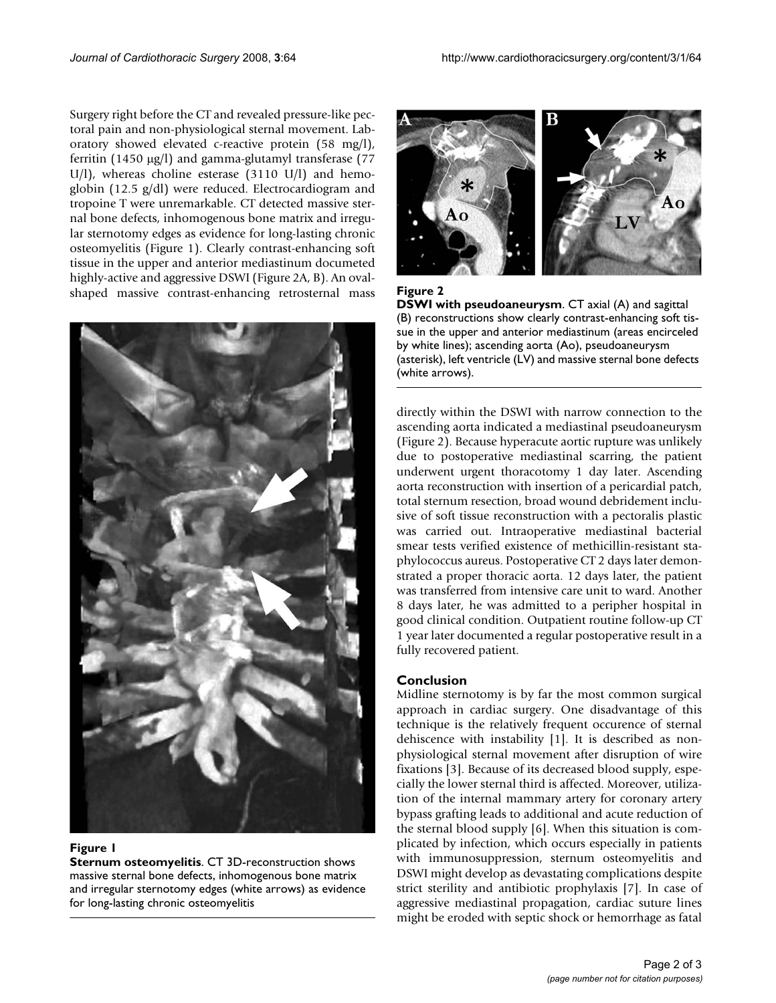Surgery right before the CT and revealed pressure-like pectoral pain and non-physiological sternal movement. Laboratory showed elevated c-reactive protein (58 mg/l), ferritin (1450 μg/l) and gamma-glutamyl transferase (77 U/l), whereas choline esterase (3110 U/l) and hemoglobin (12.5 g/dl) were reduced. Electrocardiogram and tropoine T were unremarkable. CT detected massive sternal bone defects, inhomogenous bone matrix and irregular sternotomy edges as evidence for long-lasting chronic osteomyelitis (Figure 1). Clearly contrast-enhancing soft tissue in the upper and anterior mediastinum documeted highly-active and aggressive DSWI (Figure 2A, B). An ovalshaped massive contrast-enhancing retrosternal mass



#### **Figure 1**

**Sternum osteomyelitis**. CT 3D-reconstruction shows massive sternal bone defects, inhomogenous bone matrix and irregular sternotomy edges (white arrows) as evidence for long-lasting chronic osteomyelitis



**Figure 2 DSWI with pseudoaneurysm**. CT axial (A) and sagittal (B) reconstructions show clearly contrast-enhancing soft tissue in the upper and anterior mediastinum (areas encirceled by white lines); ascending aorta (Ao), pseudoaneurysm (asterisk), left ventricle (LV) and massive sternal bone defects (white arrows).

directly within the DSWI with narrow connection to the ascending aorta indicated a mediastinal pseudoaneurysm (Figure 2). Because hyperacute aortic rupture was unlikely due to postoperative mediastinal scarring, the patient underwent urgent thoracotomy 1 day later. Ascending aorta reconstruction with insertion of a pericardial patch, total sternum resection, broad wound debridement inclusive of soft tissue reconstruction with a pectoralis plastic was carried out. Intraoperative mediastinal bacterial smear tests verified existence of methicillin-resistant staphylococcus aureus. Postoperative CT 2 days later demonstrated a proper thoracic aorta. 12 days later, the patient was transferred from intensive care unit to ward. Another 8 days later, he was admitted to a peripher hospital in good clinical condition. Outpatient routine follow-up CT 1 year later documented a regular postoperative result in a fully recovered patient.

#### **Conclusion**

Midline sternotomy is by far the most common surgical approach in cardiac surgery. One disadvantage of this technique is the relatively frequent occurence of sternal dehiscence with instability [1]. It is described as nonphysiological sternal movement after disruption of wire fixations [3]. Because of its decreased blood supply, especially the lower sternal third is affected. Moreover, utilization of the internal mammary artery for coronary artery bypass grafting leads to additional and acute reduction of the sternal blood supply [6]. When this situation is complicated by infection, which occurs especially in patients with immunosuppression, sternum osteomyelitis and DSWI might develop as devastating complications despite strict sterility and antibiotic prophylaxis [7]. In case of aggressive mediastinal propagation, cardiac suture lines might be eroded with septic shock or hemorrhage as fatal